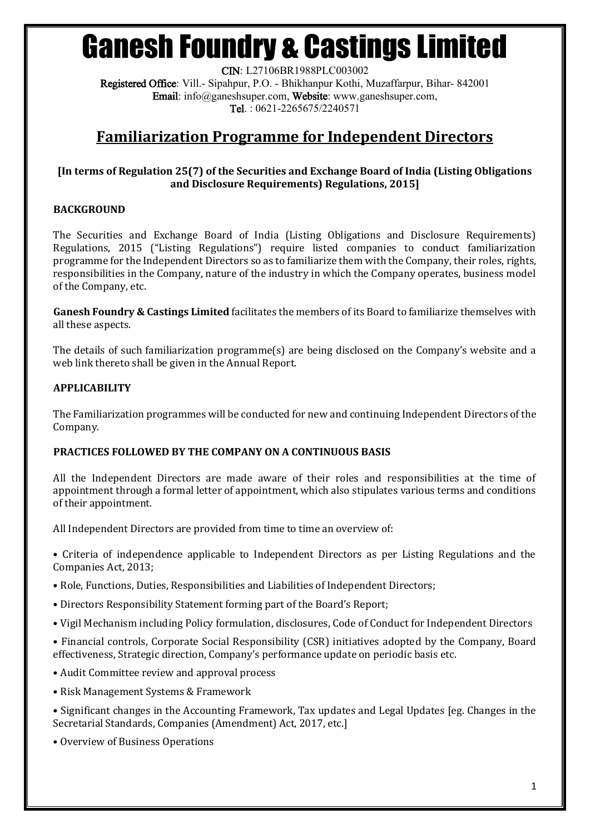# Ganesh Foundry & Castings Limited

CIN: L27106BR1988PLC003002 Registered Office: Vill.- Sipahpur, P.O. - Bhikhanpur Kothi, Muzaffarpur, Bihar- 842001 Email: info@ganeshsuper.com, Website: www.ganeshsuper.com, Tel. : 0621-2265675/2240571

## **Familiarization Programme for Independent Directors**

#### **[In terms of Regulation 25(7) of the Securities and Exchange Board of India (Listing Obligations and Disclosure Requirements) Regulations, 2015]**

### **BACKGROUND**

The Securities and Exchange Board of India (Listing Obligations and Disclosure Requirements) Regulations, 2015 ("Listing Regulations") require listed companies to conduct familiarization programme for the Independent Directors so as to familiarize them with the Company, their roles, rights, responsibilities in the Company, nature of the industry in which the Company operates, business model of the Company, etc.

**Ganesh Foundry & Castings Limited** facilitates the members of its Board to familiarize themselves with all these aspects.

The details of such familiarization programme(s) are being disclosed on the Company's website and a web link thereto shall be given in the Annual Report.

### **APPLICABILITY**

The Familiarization programmes will be conducted for new and continuing Independent Directors of the Company.

#### **PRACTICES FOLLOWED BY THE COMPANY ON A CONTINUOUS BASIS**

All the Independent Directors are made aware of their roles and responsibilities at the time of appointment through a formal letter of appointment, which also stipulates various terms and conditions of their appointment.

All Independent Directors are provided from time to time an overview of:

• Criteria of independence applicable to Independent Directors as per Listing Regulations and the Companies Act, 2013;

- Role, Functions, Duties, Responsibilities and Liabilities of Independent Directors;
- Directors Responsibility Statement forming part of the Board's Report;
- Vigil Mechanism including Policy formulation, disclosures, Code of Conduct for Independent Directors
- Financial controls, Corporate Social Responsibility (CSR) initiatives adopted by the Company, Board effectiveness, Strategic direction, Company's performance update on periodic basis etc.
- Audit Committee review and approval process
- Risk Management Systems & Framework
- Significant changes in the Accounting Framework, Tax updates and Legal Updates [eg. Changes in the Secretarial Standards, Companies (Amendment) Act, 2017, etc.]
- Overview of Business Operations